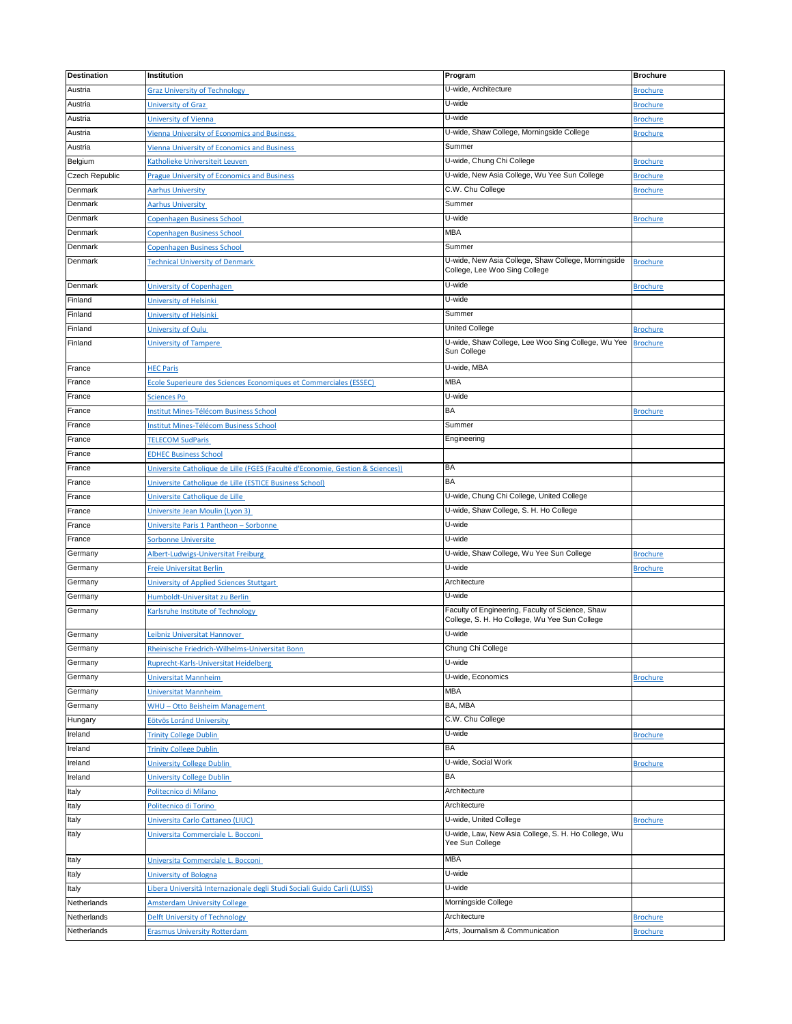| <b>Destination</b> | Institution                                                                    | Program                                             | <b>Brochure</b> |
|--------------------|--------------------------------------------------------------------------------|-----------------------------------------------------|-----------------|
| Austria            | <b>Graz University of Technology</b>                                           | U-wide, Architecture                                | <b>Brochure</b> |
| Austria            | <b>University of Graz</b>                                                      | U-wide                                              | <b>Brochure</b> |
| Austria            | University of Vienna                                                           | U-wide                                              | <b>Brochure</b> |
| Austria            | <b>Vienna University of Economics and Business</b>                             | U-wide, Shaw College, Morningside College           | <b>Brochure</b> |
| Austria            | <b>Vienna University of Economics and Business</b>                             | Summer                                              |                 |
| Belgium            | Katholieke Universiteit Leuven                                                 | U-wide, Chung Chi College                           | <b>Brochure</b> |
| Czech Republic     | <b>Prague University of Economics and Business</b>                             | U-wide, New Asia College, Wu Yee Sun College        | <b>Brochure</b> |
| Denmark            | <b>Aarhus University</b>                                                       | C.W. Chu College                                    | <b>Brochure</b> |
| Denmark            | <b>Aarhus University</b>                                                       | Summer                                              |                 |
| Denmark            | Copenhagen Business School                                                     | U-wide                                              | <b>Brochure</b> |
| Denmark            | Copenhagen Business School                                                     | MBA                                                 |                 |
| Denmark            | Copenhagen Business School                                                     | Summer                                              |                 |
| Denmark            | <b>Technical University of Denmark</b>                                         | U-wide, New Asia College, Shaw College, Morningside | <b>Brochure</b> |
|                    |                                                                                | College, Lee Woo Sing College                       |                 |
| Denmark            | University of Copenhagen                                                       | U-wide                                              | <b>Brochure</b> |
| Finland            | University of Helsinki                                                         | U-wide                                              |                 |
| Finland            | University of Helsinki                                                         | Summer                                              |                 |
| Finland            | University of Oulu                                                             | United College                                      | <b>Brochure</b> |
| Finland            | University of Tampere                                                          | U-wide, Shaw College, Lee Woo Sing College, Wu Yee  | <b>Brochure</b> |
|                    |                                                                                | Sun College                                         |                 |
| France             | <b>HEC Paris</b>                                                               | U-wide, MBA                                         |                 |
| France             | Ecole Superieure des Sciences Economiques et Commerciales (ESSEC)              | MBA                                                 |                 |
| France             | <b>Sciences Po</b>                                                             | U-wide                                              |                 |
| France             | Institut Mines-Télécom Business School                                         | BA                                                  | <b>Brochure</b> |
| France             | <b>Institut Mines-Télécom Business School</b>                                  | Summer                                              |                 |
| France             | <b>TELECOM SudParis</b>                                                        | Engineering                                         |                 |
| France             | <b>EDHEC Business School</b>                                                   |                                                     |                 |
| France             | Universite Catholique de Lille (FGES (Faculté d'Economie, Gestion & Sciences)) | BA                                                  |                 |
| France             | Universite Catholique de Lille (ESTICE Business School)                        | BA                                                  |                 |
| France             | Universite Catholique de Lille                                                 | U-wide, Chung Chi College, United College           |                 |
| France             | Universite Jean Moulin (Lyon 3)                                                | U-wide, Shaw College, S. H. Ho College              |                 |
| France             | Universite Paris 1 Pantheon - Sorbonne                                         | U-wide                                              |                 |
| France             | Sorbonne Universite                                                            | U-wide                                              |                 |
| Germany            | Albert-Ludwigs-Universitat Freiburg                                            | U-wide, Shaw College, Wu Yee Sun College            | <b>Brochure</b> |
| Germany            | Freie Universitat Berlin                                                       | U-wide                                              | <b>Brochure</b> |
| Germany            | University of Applied Sciences Stuttgart                                       | Architecture                                        |                 |
| Germany            | Humboldt-Universitat zu Berlin                                                 | U-wide                                              |                 |
| Germany            | Karlsruhe Institute of Technology                                              | Faculty of Engineering, Faculty of Science, Shaw    |                 |
|                    |                                                                                | College, S. H. Ho College, Wu Yee Sun College       |                 |
| Germany            | Leibniz Universitat Hannover                                                   | U-wide                                              |                 |
| Germany            | Rheinische Friedrich-Wilhelms-Universitat Bonn                                 | Chung Chi College                                   |                 |
| Germany            | Ruprecht-Karls-Universitat Heidelberg                                          | U-wide                                              |                 |
| Germany            | Universitat Mannheim                                                           | U-wide, Economics                                   | <b>Brochure</b> |
| Germany            | Universitat Mannheim                                                           | MBA                                                 |                 |
| Germany            | <b>WHU - Otto Beisheim Management</b>                                          | BA, MBA                                             |                 |
| Hungary            | Eötvös Loránd University                                                       | C.W. Chu College                                    |                 |
| Ireland            | <b>Trinity College Dublin</b>                                                  | U-wide                                              | <b>Brochure</b> |
| Ireland            | <b>Trinity College Dublin</b>                                                  | BA                                                  |                 |
| Ireland            | <b>University College Dublin</b>                                               | U-wide, Social Work                                 | <b>Brochure</b> |
| Ireland            | University College Dublin                                                      | BA                                                  |                 |
| Italy              | Politecnico di Milano                                                          | Architecture                                        |                 |
| Italy              | Politecnico di Torino                                                          | Architecture                                        |                 |
| Italy              | Universita Carlo Cattaneo (LIUC)                                               | U-wide, United College                              | <b>Brochure</b> |
| Italy              | Universita Commerciale L. Bocconi                                              | U-wide, Law, New Asia College, S. H. Ho College, Wu |                 |
|                    |                                                                                | Yee Sun College                                     |                 |
| Italy              | Universita Commerciale L. Bocconi                                              | <b>MBA</b>                                          |                 |
| Italy              | University of Bologna                                                          | U-wide                                              |                 |
| Italy              | Libera Università Internazionale degli Studi Sociali Guido Carli (LUISS)       | U-wide                                              |                 |
| Netherlands        | <b>Amsterdam University College</b>                                            | Morningside College                                 |                 |
| Netherlands        | Delft University of Technology                                                 | Architecture                                        | <b>Brochure</b> |
| Netherlands        | <b>Erasmus University Rotterdam</b>                                            | Arts, Journalism & Communication                    | <b>Brochure</b> |
|                    |                                                                                |                                                     |                 |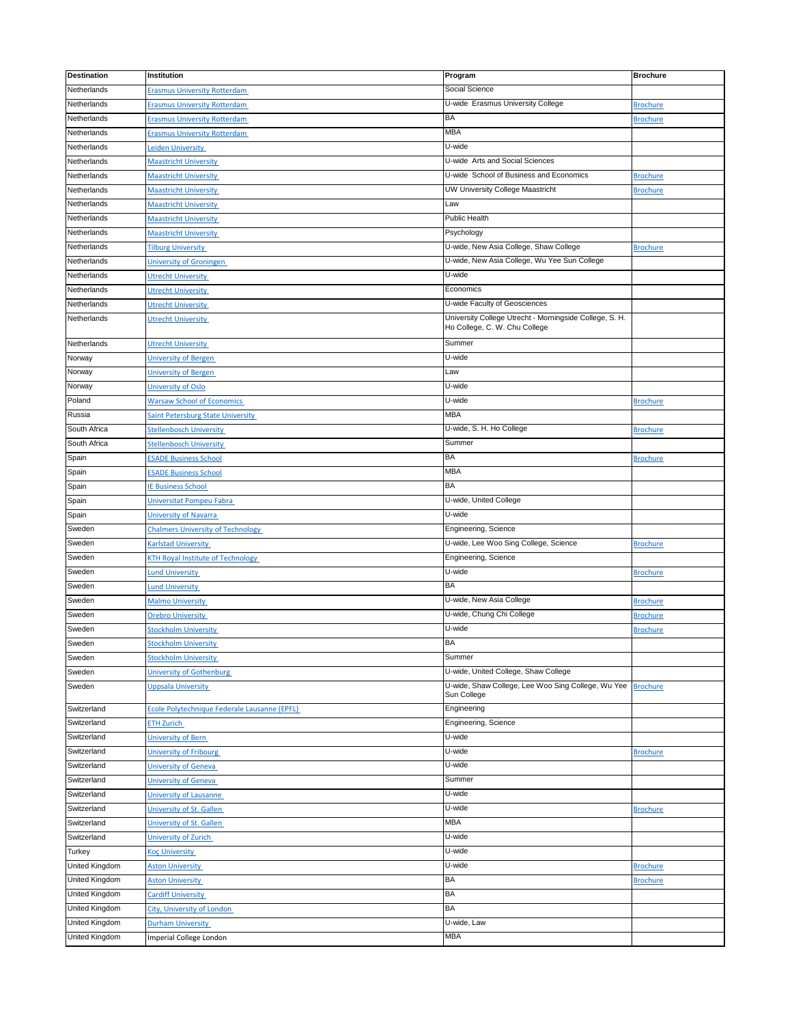| <b>Destination</b>    | Institution                                                  | Program                                                                                  | <b>Brochure</b> |
|-----------------------|--------------------------------------------------------------|------------------------------------------------------------------------------------------|-----------------|
| Netherlands           | <b>Erasmus University Rotterdam</b>                          | Social Science                                                                           |                 |
| Netherlands           | <b>Erasmus University Rotterdam</b>                          | U-wide Erasmus University College                                                        | <b>Brochure</b> |
| Netherlands           | <b>Erasmus University Rotterdam</b>                          | <b>BA</b>                                                                                | <b>Brochure</b> |
| Netherlands           | <b>Erasmus University Rotterdam</b>                          | <b>MBA</b>                                                                               |                 |
| Netherlands           | eiden University                                             | U-wide                                                                                   |                 |
| Netherlands           | <b>Maastricht University</b>                                 | U-wide Arts and Social Sciences                                                          |                 |
| Netherlands           | <b>Maastricht University</b>                                 | U-wide School of Business and Economics                                                  | <b>Brochure</b> |
| Netherlands           | <b>Maastricht University</b>                                 | UW University College Maastricht                                                         | <b>Brochure</b> |
| Netherlands           | <b>Maastricht University</b>                                 | Law                                                                                      |                 |
| Netherlands           |                                                              | Public Health                                                                            |                 |
| Netherlands           | <b>Maastricht University</b><br><b>Maastricht University</b> |                                                                                          |                 |
|                       |                                                              | Psychology                                                                               |                 |
| Netherlands           | <b>Tilburg University</b>                                    | U-wide, New Asia College, Shaw College                                                   | <b>Brochure</b> |
| Netherlands           | University of Groningen                                      | U-wide, New Asia College, Wu Yee Sun College                                             |                 |
| Netherlands           | <b>Utrecht University</b>                                    | U-wide                                                                                   |                 |
| Netherlands           | <b>Utrecht University</b>                                    | Economics                                                                                |                 |
| Netherlands           | <b>Utrecht University</b>                                    | U-wide Faculty of Geosciences                                                            |                 |
| Netherlands           | <b>Utrecht University</b>                                    | University College Utrecht - Morningside College, S. H.<br>Ho College, C. W. Chu College |                 |
| Netherlands           | <b>Utrecht University</b>                                    | Summer                                                                                   |                 |
| Norway                | University of Bergen                                         | U-wide                                                                                   |                 |
| Norway                | University of Bergen                                         | Law                                                                                      |                 |
| Norway                | University of Oslo                                           | U-wide                                                                                   |                 |
| Poland                | <b>Warsaw School of Economics</b>                            | U-wide                                                                                   | <b>Brochure</b> |
| Russia                | <b>Saint Petersburg State University</b>                     | MBA                                                                                      |                 |
| South Africa          | Stellenbosch University                                      | U-wide, S. H. Ho College                                                                 | <b>Brochure</b> |
| South Africa          | <b>Stellenbosch University</b>                               | Summer                                                                                   |                 |
| Spain                 | <b>ESADE Business School</b>                                 | <b>BA</b>                                                                                | <b>Brochure</b> |
| Spain                 | <b>ESADE Business School</b>                                 | <b>MBA</b>                                                                               |                 |
| Spain                 | <b>E Business School</b>                                     | <b>BA</b>                                                                                |                 |
| Spain                 | Universitat Pompeu Fabra                                     | U-wide, United College                                                                   |                 |
| Spain                 | University of Navarra                                        | U-wide                                                                                   |                 |
| Sweden                | <b>Chalmers University of Technology</b>                     | Engineering, Science                                                                     |                 |
| Sweden                | <b>Karlstad University</b>                                   | U-wide, Lee Woo Sing College, Science                                                    | <b>Brochure</b> |
|                       |                                                              | Engineering, Science                                                                     |                 |
| Sweden                | <b>KTH Royal Institute of Technology</b>                     | U-wide                                                                                   |                 |
| Sweden                | und University                                               |                                                                                          | <b>Brochure</b> |
| Sweden                | <b>Lund University</b>                                       | BA                                                                                       |                 |
| Sweden                | <b>Malmo University</b>                                      | U-wide, New Asia College                                                                 | <b>Brochure</b> |
| Sweden                | <b>Orebro University</b>                                     | U-wide, Chung Chi College                                                                | <b>Brochure</b> |
| Sweden                | <b>Stockholm University</b>                                  | U-wide                                                                                   | <b>Brochure</b> |
| Sweden                | <b>Stockholm University</b>                                  | <b>BA</b>                                                                                |                 |
| Sweden                | <b>Stockholm University</b>                                  | Summer                                                                                   |                 |
| Sweden                | University of Gothenburg                                     | U-wide, United College, Shaw College                                                     |                 |
| Sweden                | <b>Uppsala University</b>                                    | U-wide, Shaw College, Lee Woo Sing College, Wu Yee<br>Sun College                        | <b>Brochure</b> |
| Switzerland           | Ecole Polytechnique Federale Lausanne (EPFL)                 | Engineering                                                                              |                 |
| Switzerland           | <b>ETH Zurich</b>                                            | Engineering, Science                                                                     |                 |
| Switzerland           | University of Bern                                           | U-wide                                                                                   |                 |
| Switzerland           | University of Fribourg                                       | U-wide                                                                                   | <b>Brochure</b> |
| Switzerland           | University of Geneva                                         | U-wide                                                                                   |                 |
| Switzerland           | <b>University of Geneva</b>                                  | Summer                                                                                   |                 |
| Switzerland           | University of Lausanne                                       | U-wide                                                                                   |                 |
| Switzerland           | University of St. Gallen                                     | U-wide                                                                                   | <b>Brochure</b> |
| Switzerland           | University of St. Gallen                                     | <b>MBA</b>                                                                               |                 |
| Switzerland           | University of Zurich                                         | U-wide                                                                                   |                 |
| Turkey                | <b>Koc University</b>                                        | U-wide                                                                                   |                 |
| United Kingdom        | <b>Aston University</b>                                      | U-wide                                                                                   | <b>Brochure</b> |
| <b>United Kingdom</b> | <b>Aston University</b>                                      | <b>BA</b>                                                                                | <b>Brochure</b> |
| United Kingdom        | <b>Cardiff University</b>                                    | BA                                                                                       |                 |
| United Kingdom        | City, University of London                                   | <b>BA</b>                                                                                |                 |
| <b>United Kingdom</b> | <b>Durham University</b>                                     | U-wide, Law                                                                              |                 |
| United Kingdom        | Imperial College London                                      | <b>MBA</b>                                                                               |                 |
|                       |                                                              |                                                                                          |                 |